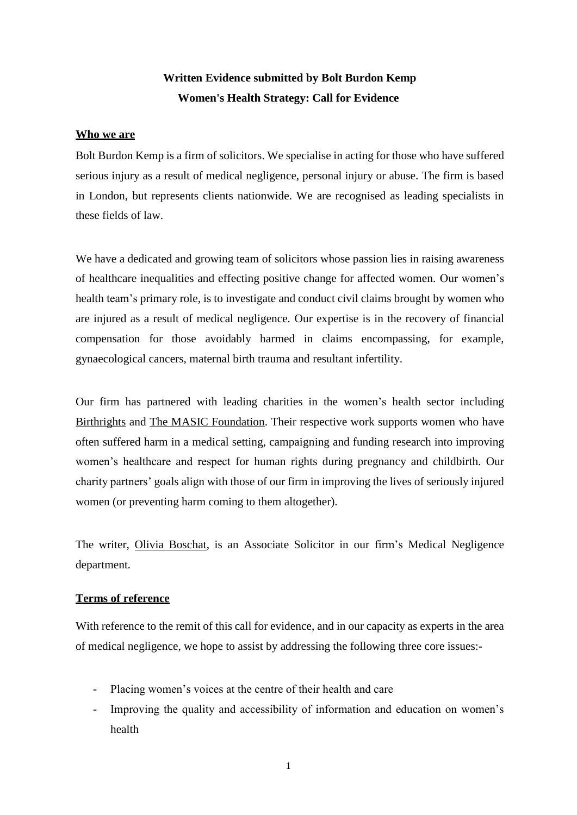# **Written Evidence submitted by Bolt Burdon Kemp Women's Health Strategy: Call for Evidence**

## **Who we are**

Bolt Burdon Kemp is a firm of solicitors. We specialise in acting for those who have suffered serious injury as a result of medical negligence, personal injury or abuse. The firm is based in London, but represents clients nationwide. We are recognised as leading specialists in these fields of law.

We have a dedicated and growing team of solicitors whose passion lies in raising awareness of healthcare inequalities and effecting positive change for affected women. Our women's health team's primary role, is to investigate and conduct civil claims brought by women who are injured as a result of medical negligence. Our expertise is in the recovery of financial compensation for those avoidably harmed in claims encompassing, for example, gynaecological cancers, maternal birth trauma and resultant infertility.

Our firm has partnered with leading charities in the women's health sector including [Birthrights](https://www.birthrights.org.uk/) and [The MASIC Foundation.](https://masic.org.uk/) Their respective work supports women who have often suffered harm in a medical setting, campaigning and funding research into improving women's healthcare and respect for human rights during pregnancy and childbirth. Our charity partners' goals align with those of our firm in improving the lives of seriously injured women (or preventing harm coming to them altogether).

The writer, [Olivia Boschat,](https://www.boltburdonkemp.co.uk/why-bolt-burdon-kemp-bbk-solicitors/meet-our-team/oliviam/) is an Associate Solicitor in our firm's Medical Negligence department.

## **Terms of reference**

With reference to the remit of this call for evidence, and in our capacity as experts in the area of medical negligence, we hope to assist by addressing the following three core issues:-

- Placing women's voices at the centre of their health and care
- Improving the quality and accessibility of information and education on women's health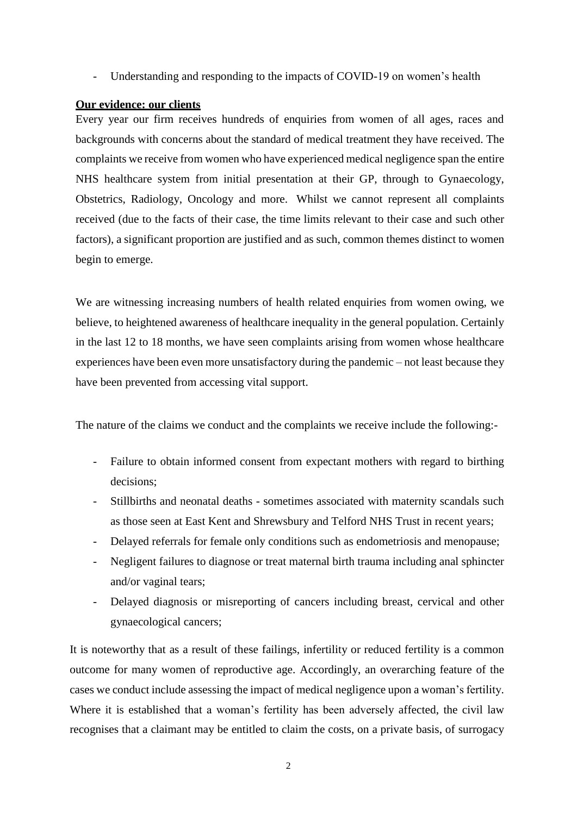Understanding and responding to the impacts of COVID-19 on women's health

## **Our evidence: our clients**

Every year our firm receives hundreds of enquiries from women of all ages, races and backgrounds with concerns about the standard of medical treatment they have received. The complaints we receive from women who have experienced medical negligence span the entire NHS healthcare system from initial presentation at their GP, through to Gynaecology, Obstetrics, Radiology, Oncology and more. Whilst we cannot represent all complaints received (due to the facts of their case, the time limits relevant to their case and such other factors), a significant proportion are justified and as such, common themes distinct to women begin to emerge.

We are witnessing increasing numbers of health related enquiries from women owing, we believe, to heightened awareness of healthcare inequality in the general population. Certainly in the last 12 to 18 months, we have seen complaints arising from women whose healthcare experiences have been even more unsatisfactory during the pandemic – not least because they have been prevented from accessing vital support.

The nature of the claims we conduct and the complaints we receive include the following:-

- Failure to obtain informed consent from expectant mothers with regard to birthing decisions;
- Stillbirths and neonatal deaths sometimes associated with maternity scandals such as those seen at East Kent and Shrewsbury and Telford NHS Trust in recent years;
- Delayed referrals for female only conditions such as endometriosis and menopause;
- Negligent failures to diagnose or treat maternal birth trauma including anal sphincter and/or vaginal tears;
- Delayed diagnosis or misreporting of cancers including breast, cervical and other gynaecological cancers;

It is noteworthy that as a result of these failings, infertility or reduced fertility is a common outcome for many women of reproductive age. Accordingly, an overarching feature of the cases we conduct include assessing the impact of medical negligence upon a woman's fertility. Where it is established that a woman's fertility has been adversely affected, the civil law recognises that a claimant may be entitled to claim the costs, on a private basis, of surrogacy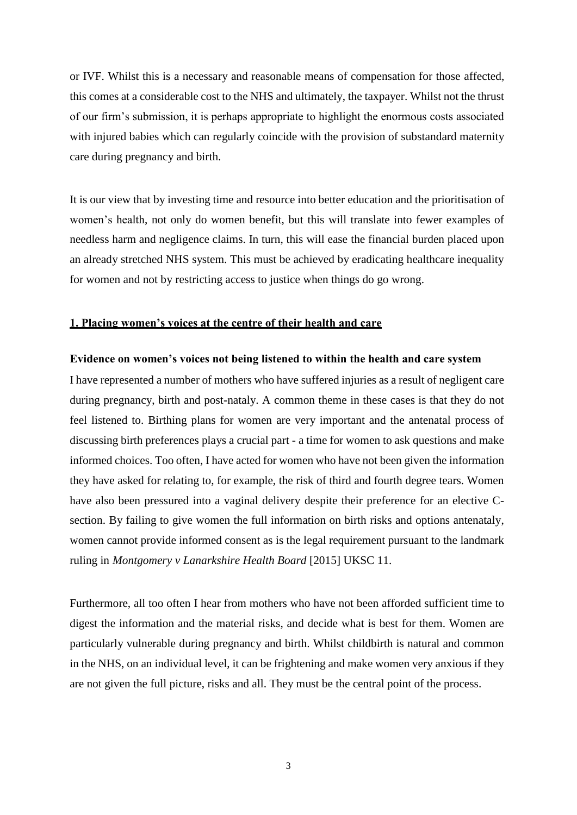or IVF. Whilst this is a necessary and reasonable means of compensation for those affected, this comes at a considerable cost to the NHS and ultimately, the taxpayer. Whilst not the thrust of our firm's submission, it is perhaps appropriate to highlight the enormous costs associated with injured babies which can regularly coincide with the provision of substandard maternity care during pregnancy and birth.

It is our view that by investing time and resource into better education and the prioritisation of women's health, not only do women benefit, but this will translate into fewer examples of needless harm and negligence claims. In turn, this will ease the financial burden placed upon an already stretched NHS system. This must be achieved by eradicating healthcare inequality for women and not by restricting access to justice when things do go wrong.

### **1. Placing women's voices at the centre of their health and care**

#### **Evidence on women's voices not being listened to within the health and care system**

I have represented a number of mothers who have suffered injuries as a result of negligent care during pregnancy, birth and post-nataly. A common theme in these cases is that they do not feel listened to. Birthing plans for women are very important and the antenatal process of discussing birth preferences plays a crucial part - a time for women to ask questions and make informed choices. Too often, I have acted for women who have not been given the information they have asked for relating to, for example, the risk of third and fourth degree tears. Women have also been pressured into a vaginal delivery despite their preference for an elective Csection. By failing to give women the full information on birth risks and options antenataly, women cannot provide informed consent as is the legal requirement pursuant to the landmark ruling in *Montgomery v Lanarkshire Health Board* [2015] UKSC 11.

Furthermore, all too often I hear from mothers who have not been afforded sufficient time to digest the information and the material risks, and decide what is best for them. Women are particularly vulnerable during pregnancy and birth. Whilst childbirth is natural and common in the NHS, on an individual level, it can be frightening and make women very anxious if they are not given the full picture, risks and all. They must be the central point of the process.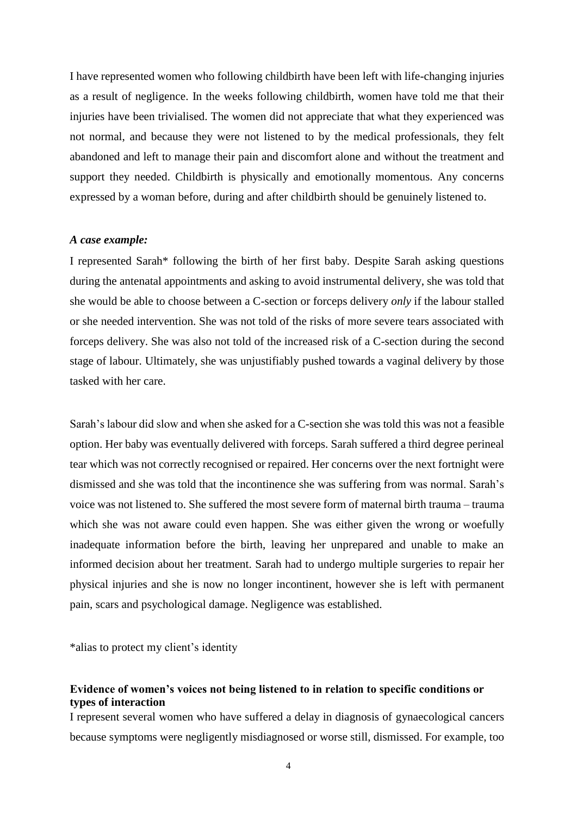I have represented women who following childbirth have been left with life-changing injuries as a result of negligence. In the weeks following childbirth, women have told me that their injuries have been trivialised. The women did not appreciate that what they experienced was not normal, and because they were not listened to by the medical professionals, they felt abandoned and left to manage their pain and discomfort alone and without the treatment and support they needed. Childbirth is physically and emotionally momentous. Any concerns expressed by a woman before, during and after childbirth should be genuinely listened to.

## *A case example:*

I represented Sarah\* following the birth of her first baby. Despite Sarah asking questions during the antenatal appointments and asking to avoid instrumental delivery, she was told that she would be able to choose between a C-section or forceps delivery *only* if the labour stalled or she needed intervention. She was not told of the risks of more severe tears associated with forceps delivery. She was also not told of the increased risk of a C-section during the second stage of labour. Ultimately, she was unjustifiably pushed towards a vaginal delivery by those tasked with her care.

Sarah's labour did slow and when she asked for a C-section she was told this was not a feasible option. Her baby was eventually delivered with forceps. Sarah suffered a third degree perineal tear which was not correctly recognised or repaired. Her concerns over the next fortnight were dismissed and she was told that the incontinence she was suffering from was normal. Sarah's voice was not listened to. She suffered the most severe form of maternal birth trauma – trauma which she was not aware could even happen. She was either given the wrong or woefully inadequate information before the birth, leaving her unprepared and unable to make an informed decision about her treatment. Sarah had to undergo multiple surgeries to repair her physical injuries and she is now no longer incontinent, however she is left with permanent pain, scars and psychological damage. Negligence was established.

\*alias to protect my client's identity

## **Evidence of women's voices not being listened to in relation to specific conditions or types of interaction**

I represent several women who have suffered a delay in diagnosis of gynaecological cancers because symptoms were negligently misdiagnosed or worse still, dismissed. For example, too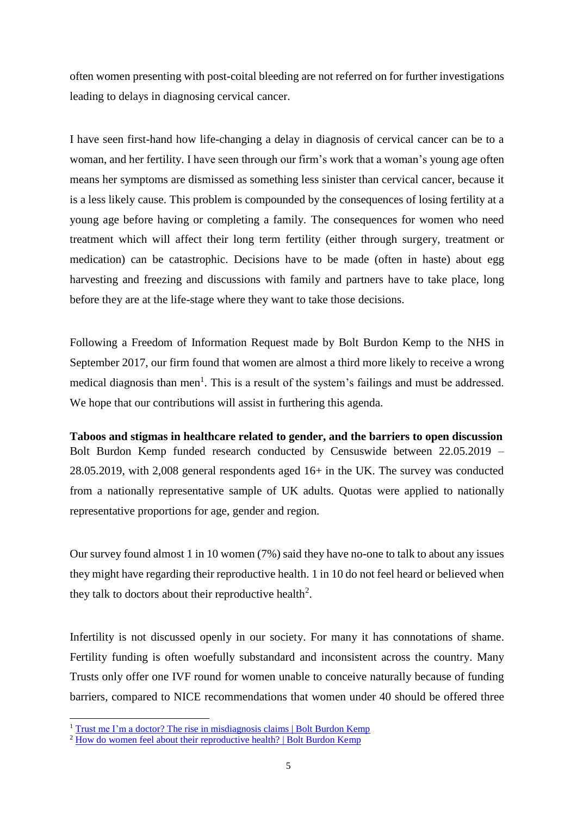often women presenting with post-coital bleeding are not referred on for further investigations leading to delays in diagnosing cervical cancer.

I have seen first-hand how life-changing a delay in diagnosis of cervical cancer can be to a woman, and her fertility. I have seen through our firm's work that a woman's young age often means her symptoms are dismissed as something less sinister than cervical cancer, because it is a less likely cause. This problem is compounded by the consequences of losing fertility at a young age before having or completing a family. The consequences for women who need treatment which will affect their long term fertility (either through surgery, treatment or medication) can be catastrophic. Decisions have to be made (often in haste) about egg harvesting and freezing and discussions with family and partners have to take place, long before they are at the life-stage where they want to take those decisions.

Following a Freedom of Information Request made by Bolt Burdon Kemp to the NHS in September 2017, our firm found that women are almost a third more likely to receive a wrong medical diagnosis than men<sup>1</sup>. This is a result of the system's failings and must be addressed. We hope that our contributions will assist in furthering this agenda.

**Taboos and stigmas in healthcare related to gender, and the barriers to open discussion** Bolt Burdon Kemp funded research conducted by Censuswide between 22.05.2019 – 28.05.2019, with 2,008 general respondents aged 16+ in the UK. The survey was conducted from a nationally representative sample of UK adults. Quotas were applied to nationally representative proportions for age, gender and region.

Our survey found almost 1 in 10 women (7%) said they have no-one to talk to about any issues they might have regarding their reproductive health. 1 in 10 do not feel heard or believed when they talk to doctors about their reproductive health<sup>2</sup>.

Infertility is not discussed openly in our society. For many it has connotations of shame. Fertility funding is often woefully substandard and inconsistent across the country. Many Trusts only offer one IVF round for women unable to conceive naturally because of funding barriers, compared to NICE recommendations that women under 40 should be offered three

-

<sup>&</sup>lt;sup>1</sup> [Trust me I'm a doctor? The rise in misdiagnosis claims | Bolt Burdon Kemp](https://www.boltburdonkemp.co.uk/campaigns/the-rise-of-nhs-medical-negligence-claims/)

<sup>&</sup>lt;sup>2</sup> [How do women feel about their reproductive health? | Bolt Burdon Kemp](https://www.boltburdonkemp.co.uk/campaigns/womens-health-hub/how-do-women-feel-about-their-reproductive-health/)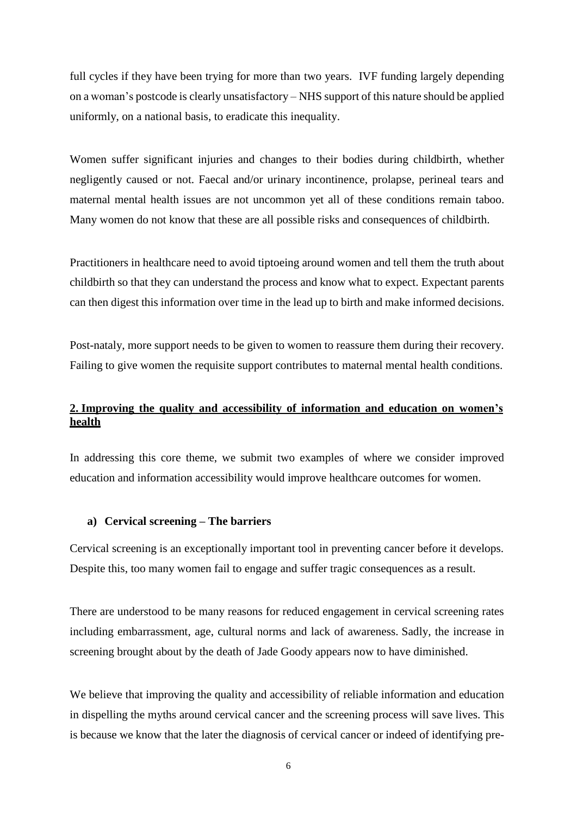full cycles if they have been trying for more than two years. IVF funding largely depending on a woman's postcode is clearly unsatisfactory – NHS support of this nature should be applied uniformly, on a national basis, to eradicate this inequality.

Women suffer significant injuries and changes to their bodies during childbirth, whether negligently caused or not. Faecal and/or urinary incontinence, prolapse, perineal tears and maternal mental health issues are not uncommon yet all of these conditions remain taboo. Many women do not know that these are all possible risks and consequences of childbirth.

Practitioners in healthcare need to avoid tiptoeing around women and tell them the truth about childbirth so that they can understand the process and know what to expect. Expectant parents can then digest this information over time in the lead up to birth and make informed decisions.

Post-nataly, more support needs to be given to women to reassure them during their recovery. Failing to give women the requisite support contributes to maternal mental health conditions.

# **2. Improving the quality and accessibility of information and education on women's health**

In addressing this core theme, we submit two examples of where we consider improved education and information accessibility would improve healthcare outcomes for women.

#### **a) Cervical screening – The barriers**

Cervical screening is an exceptionally important tool in preventing cancer before it develops. Despite this, too many women fail to engage and suffer tragic consequences as a result.

There are understood to be many reasons for reduced engagement in cervical screening rates including embarrassment, age, cultural norms and lack of awareness. Sadly, the increase in screening brought about by the death of Jade Goody appears now to have diminished.

We believe that improving the quality and accessibility of reliable information and education in dispelling the myths around cervical cancer and the screening process will save lives. This is because we know that the later the diagnosis of cervical cancer or indeed of identifying pre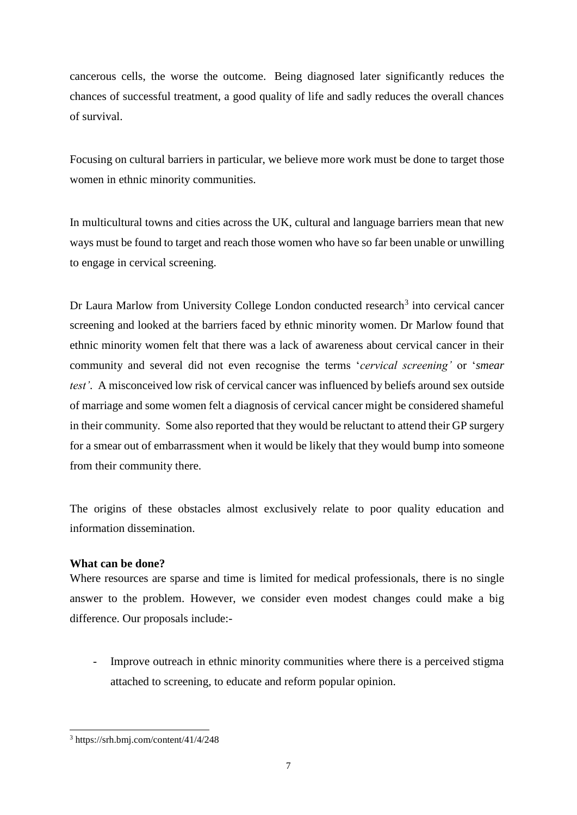cancerous cells, the worse the outcome. Being diagnosed later significantly reduces the chances of successful treatment, a good quality of life and sadly reduces the overall chances of survival.

Focusing on cultural barriers in particular, we believe more work must be done to target those women in ethnic minority communities.

In multicultural towns and cities across the UK, cultural and language barriers mean that new ways must be found to target and reach those women who have so far been unable or unwilling to engage in cervical screening.

Dr Laura Marlow from University College London conducted research<sup>3</sup> into cervical cancer screening and looked at the barriers faced by ethnic minority women. Dr Marlow found that ethnic minority women felt that there was a lack of awareness about cervical cancer in their community and several did not even recognise the terms '*cervical screening'* or '*smear test'*. A misconceived low risk of cervical cancer was influenced by beliefs around sex outside of marriage and some women felt a diagnosis of cervical cancer might be considered shameful in their community. Some also reported that they would be reluctant to attend their GP surgery for a smear out of embarrassment when it would be likely that they would bump into someone from their community there.

The origins of these obstacles almost exclusively relate to poor quality education and information dissemination.

### **What can be done?**

Where resources are sparse and time is limited for medical professionals, there is no single answer to the problem. However, we consider even modest changes could make a big difference. Our proposals include:-

Improve outreach in ethnic minority communities where there is a perceived stigma attached to screening, to educate and reform popular opinion.

-

<sup>3</sup> https://srh.bmj.com/content/41/4/248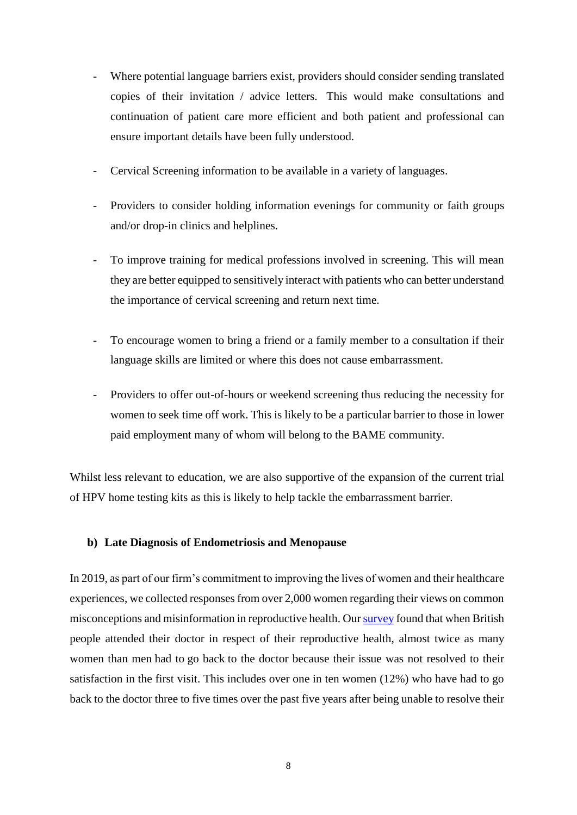- Where potential language barriers exist, providers should consider sending translated copies of their invitation / advice letters. This would make consultations and continuation of patient care more efficient and both patient and professional can ensure important details have been fully understood.
- Cervical Screening information to be available in a variety of languages.
- Providers to consider holding information evenings for community or faith groups and/or drop-in clinics and helplines.
- To improve training for medical professions involved in screening. This will mean they are better equipped to sensitively interact with patients who can better understand the importance of cervical screening and return next time.
- To encourage women to bring a friend or a family member to a consultation if their language skills are limited or where this does not cause embarrassment.
- Providers to offer out-of-hours or weekend screening thus reducing the necessity for women to seek time off work. This is likely to be a particular barrier to those in lower paid employment many of whom will belong to the BAME community.

Whilst less relevant to education, we are also supportive of the expansion of the current trial of HPV home testing kits as this is likely to help tackle the embarrassment barrier.

## **b) Late Diagnosis of Endometriosis and Menopause**

In 2019, as part of our firm's commitment to improving the lives of women and their healthcare experiences, we collected responses from over 2,000 women regarding their views on common misconceptions and misinformation in reproductive health. Our survey found that when British people attended their doctor in respect of their reproductive health, almost twice as many women than men had to go back to the doctor because their issue was not resolved to their satisfaction in the first visit. This includes over one in ten women (12%) who have had to go back to the doctor three to five times over the past five years after being unable to resolve their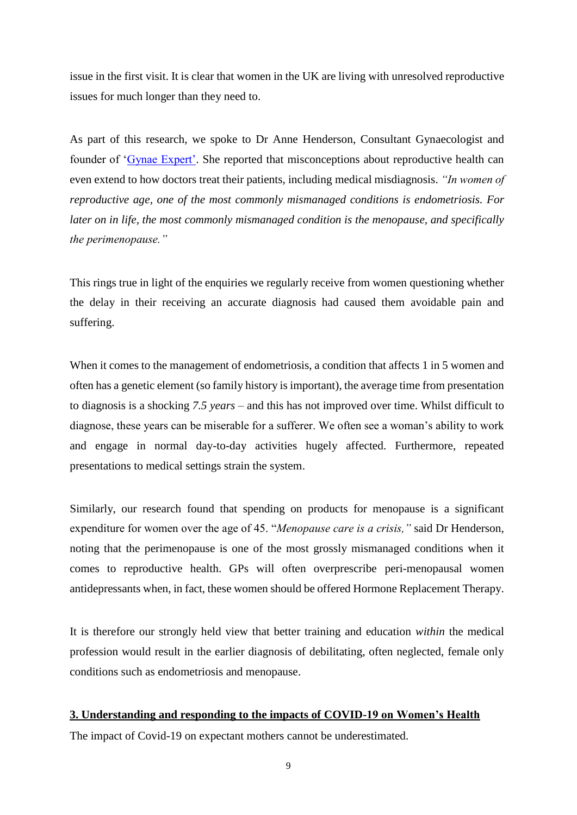issue in the first visit. It is clear that women in the UK are living with unresolved reproductive issues for much longer than they need to.

As part of this research, we spoke to Dr Anne Henderson, Consultant Gynaecologist and founder of ['Gynae Expert'.](https://gynae-expert.co.uk/) She reported that misconceptions about reproductive health can even extend to how doctors treat their patients, including [medical misdiagnosis.](https://www.boltburdonkemp.co.uk/medical-negligence/) *"In women of reproductive age, one of the most commonly mismanaged conditions is endometriosis. For later on in life, the most commonly mismanaged condition is the menopause, and specifically the perimenopause."*

This rings true in light of the enquiries we regularly receive from women questioning whether the delay in their receiving an accurate diagnosis had caused them avoidable pain and suffering.

When it comes to the management of endometriosis, a condition that affects 1 in 5 women and often has a genetic element (so family history is important), the average time from presentation to diagnosis is a shocking *7.5 years* – and this has not improved over time. Whilst difficult to diagnose, these years can be miserable for a sufferer. We often see a woman's ability to work and engage in normal day-to-day activities hugely affected. Furthermore, repeated presentations to medical settings strain the system.

Similarly, our research found that spending on products for menopause is a significant expenditure for women over the age of 45. "*Menopause care is a crisis,"* said Dr Henderson, noting that the perimenopause is one of the most grossly mismanaged conditions when it comes to reproductive health. GPs will often overprescribe peri-menopausal women antidepressants when, in fact, these women should be offered Hormone Replacement Therapy.

It is therefore our strongly held view that better training and education *within* the medical profession would result in the earlier diagnosis of debilitating, often neglected, female only conditions such as endometriosis and menopause.

### **3. Understanding and responding to the impacts of COVID-19 on Women's Health**

The impact of Covid-19 on expectant mothers cannot be underestimated.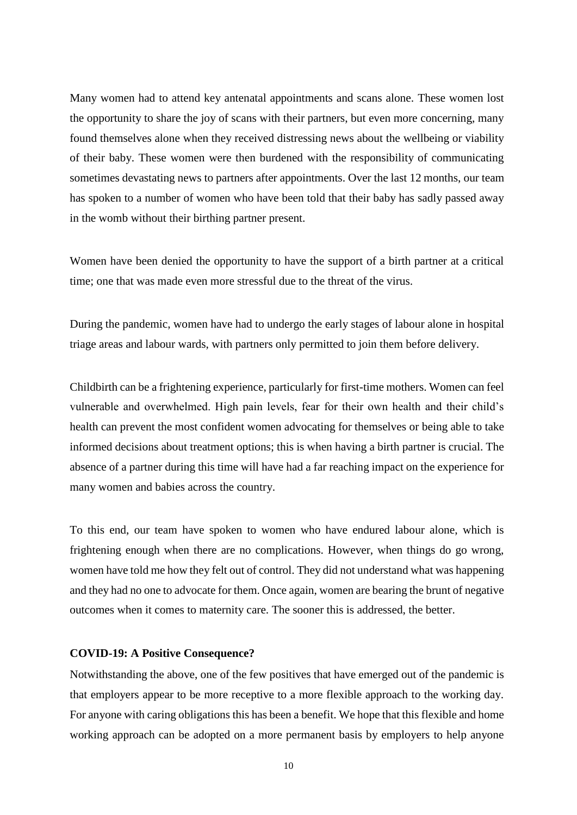Many women had to attend key antenatal appointments and scans alone. These women lost the opportunity to share the joy of scans with their partners, but even more concerning, many found themselves alone when they received distressing news about the wellbeing or viability of their baby. These women were then burdened with the responsibility of communicating sometimes devastating news to partners after appointments. Over the last 12 months, our team has spoken to a number of women who have been told that their baby has sadly passed away in the womb without their birthing partner present.

Women have been denied the opportunity to have the support of a birth partner at a critical time; one that was made even more stressful due to the threat of the virus.

During the pandemic, women have had to undergo the early stages of labour alone in hospital triage areas and labour wards, with partners only permitted to join them before delivery.

Childbirth can be a frightening experience, particularly for first-time mothers. Women can feel vulnerable and overwhelmed. High pain levels, fear for their own health and their child's health can prevent the most confident women advocating for themselves or being able to take informed decisions about treatment options; this is when having a birth partner is crucial. The absence of a partner during this time will have had a far reaching impact on the experience for many women and babies across the country.

To this end, our team have spoken to women who have endured labour alone, which is frightening enough when there are no complications. However, when things do go wrong, women have told me how they felt out of control. They did not understand what was happening and they had no one to advocate for them. Once again, women are bearing the brunt of negative outcomes when it comes to maternity care. The sooner this is addressed, the better.

#### **COVID-19: A Positive Consequence?**

Notwithstanding the above, one of the few positives that have emerged out of the pandemic is that employers appear to be more receptive to a more flexible approach to the working day. For anyone with caring obligations this has been a benefit. We hope that this flexible and home working approach can be adopted on a more permanent basis by employers to help anyone